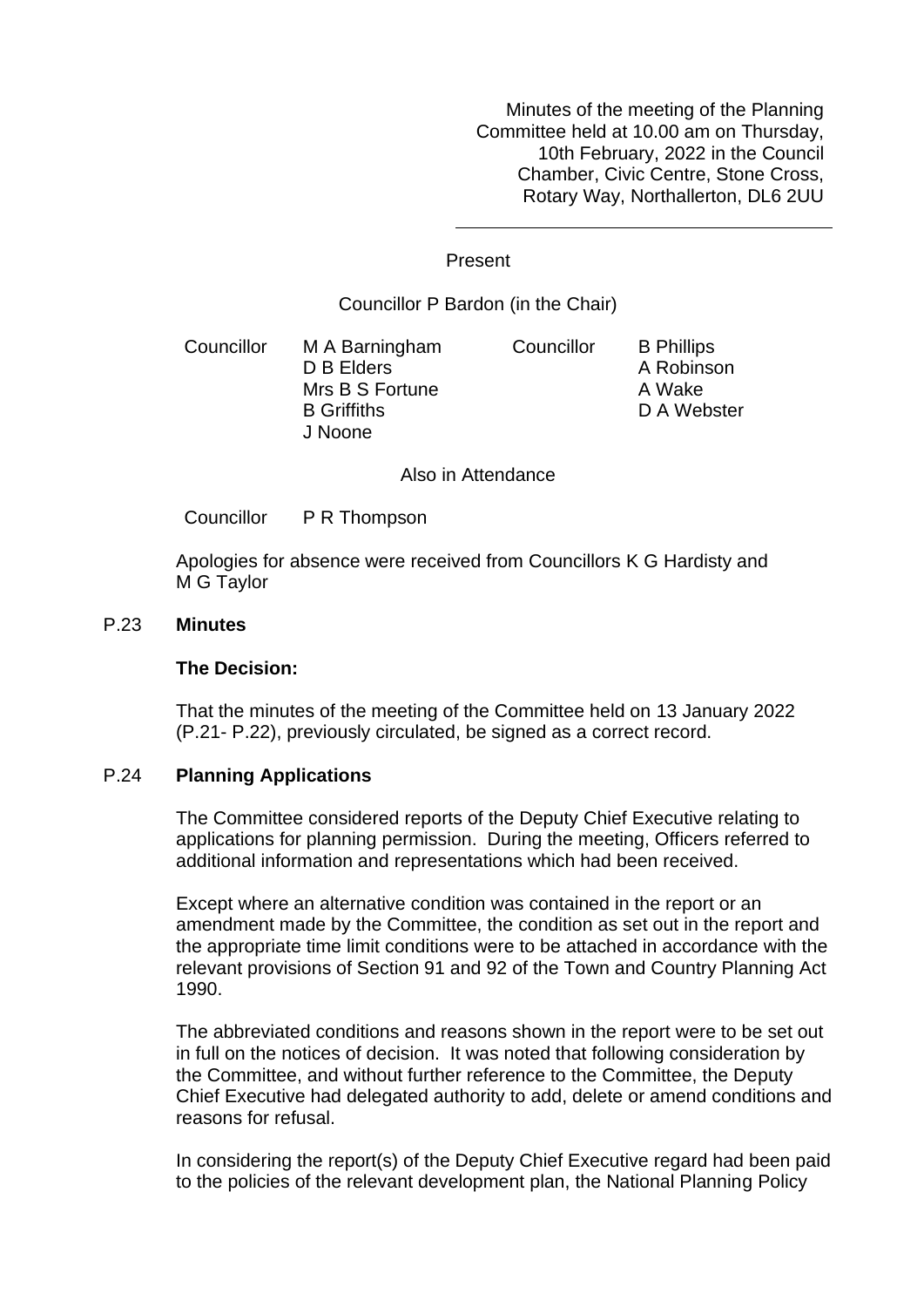Minutes of the meeting of the Planning Committee held at 10.00 am on Thursday, 10th February, 2022 in the Council Chamber, Civic Centre, Stone Cross, Rotary Way, Northallerton, DL6 2UU

## Present

# Councillor P Bardon (in the Chair)

Councillor M A Barningham D B Elders Mrs B S Fortune B Griffiths J Noone Councillor B Phillips A Robinson A Wake D A Webster

Also in Attendance

Councillor P R Thompson

Apologies for absence were received from Councillors K G Hardisty and M G Taylor

## P.23 **Minutes**

#### **The Decision:**

That the minutes of the meeting of the Committee held on 13 January 2022 (P.21- P.22), previously circulated, be signed as a correct record.

# P.24 **Planning Applications**

The Committee considered reports of the Deputy Chief Executive relating to applications for planning permission. During the meeting, Officers referred to additional information and representations which had been received.

Except where an alternative condition was contained in the report or an amendment made by the Committee, the condition as set out in the report and the appropriate time limit conditions were to be attached in accordance with the relevant provisions of Section 91 and 92 of the Town and Country Planning Act 1990.

The abbreviated conditions and reasons shown in the report were to be set out in full on the notices of decision. It was noted that following consideration by the Committee, and without further reference to the Committee, the Deputy Chief Executive had delegated authority to add, delete or amend conditions and reasons for refusal.

In considering the report(s) of the Deputy Chief Executive regard had been paid to the policies of the relevant development plan, the National Planning Policy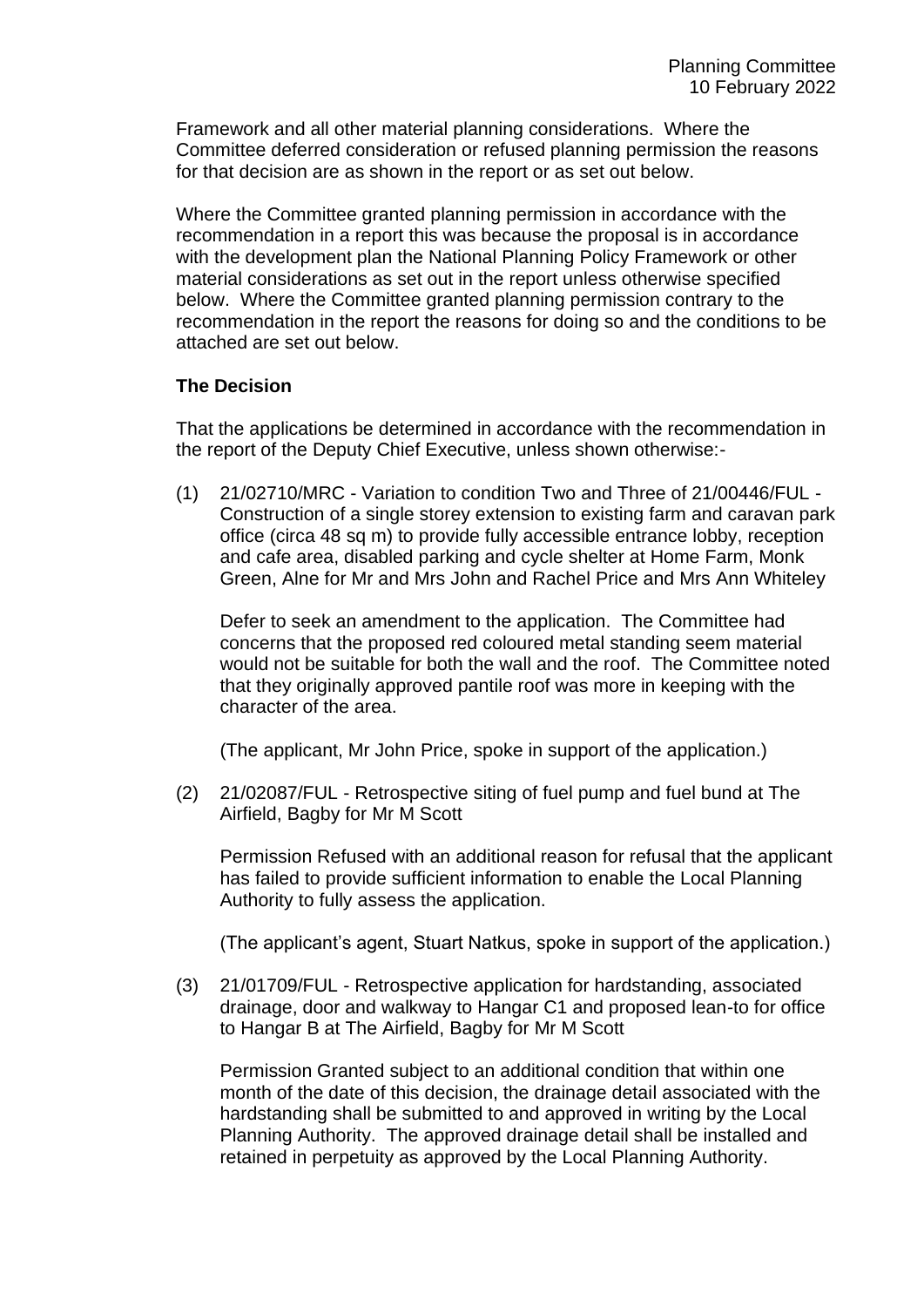Framework and all other material planning considerations. Where the Committee deferred consideration or refused planning permission the reasons for that decision are as shown in the report or as set out below.

Where the Committee granted planning permission in accordance with the recommendation in a report this was because the proposal is in accordance with the development plan the National Planning Policy Framework or other material considerations as set out in the report unless otherwise specified below. Where the Committee granted planning permission contrary to the recommendation in the report the reasons for doing so and the conditions to be attached are set out below.

# **The Decision**

That the applications be determined in accordance with the recommendation in the report of the Deputy Chief Executive, unless shown otherwise:-

(1) 21/02710/MRC - Variation to condition Two and Three of 21/00446/FUL - Construction of a single storey extension to existing farm and caravan park office (circa 48 sq m) to provide fully accessible entrance lobby, reception and cafe area, disabled parking and cycle shelter at Home Farm, Monk Green, Alne for Mr and Mrs John and Rachel Price and Mrs Ann Whiteley

Defer to seek an amendment to the application. The Committee had concerns that the proposed red coloured metal standing seem material would not be suitable for both the wall and the roof. The Committee noted that they originally approved pantile roof was more in keeping with the character of the area.

(The applicant, Mr John Price, spoke in support of the application.)

(2) 21/02087/FUL - Retrospective siting of fuel pump and fuel bund at The Airfield, Bagby for Mr M Scott

Permission Refused with an additional reason for refusal that the applicant has failed to provide sufficient information to enable the Local Planning Authority to fully assess the application.

(The applicant's agent, Stuart Natkus, spoke in support of the application.)

(3) 21/01709/FUL - Retrospective application for hardstanding, associated drainage, door and walkway to Hangar C1 and proposed lean-to for office to Hangar B at The Airfield, Bagby for Mr M Scott

Permission Granted subject to an additional condition that within one month of the date of this decision, the drainage detail associated with the hardstanding shall be submitted to and approved in writing by the Local Planning Authority. The approved drainage detail shall be installed and retained in perpetuity as approved by the Local Planning Authority.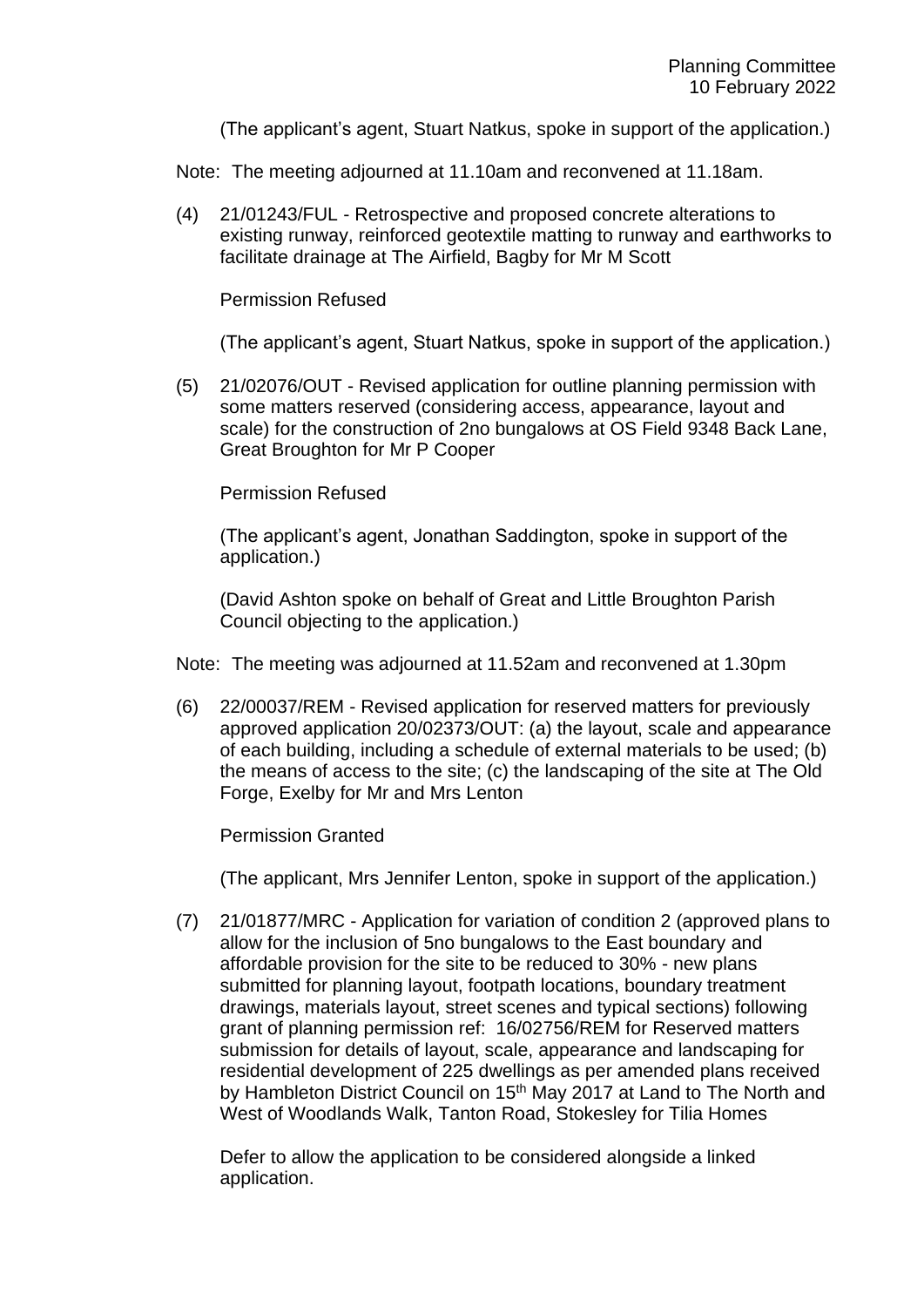(The applicant's agent, Stuart Natkus, spoke in support of the application.)

Note: The meeting adjourned at 11.10am and reconvened at 11.18am.

(4) 21/01243/FUL - Retrospective and proposed concrete alterations to existing runway, reinforced geotextile matting to runway and earthworks to facilitate drainage at The Airfield, Bagby for Mr M Scott

## Permission Refused

(The applicant's agent, Stuart Natkus, spoke in support of the application.)

(5) 21/02076/OUT - Revised application for outline planning permission with some matters reserved (considering access, appearance, layout and scale) for the construction of 2no bungalows at OS Field 9348 Back Lane, Great Broughton for Mr P Cooper

# Permission Refused

(The applicant's agent, Jonathan Saddington, spoke in support of the application.)

(David Ashton spoke on behalf of Great and Little Broughton Parish Council objecting to the application.)

Note: The meeting was adjourned at 11.52am and reconvened at 1.30pm

(6) 22/00037/REM - Revised application for reserved matters for previously approved application 20/02373/OUT: (a) the layout, scale and appearance of each building, including a schedule of external materials to be used; (b) the means of access to the site; (c) the landscaping of the site at The Old Forge, Exelby for Mr and Mrs Lenton

Permission Granted

(The applicant, Mrs Jennifer Lenton, spoke in support of the application.)

(7) 21/01877/MRC - Application for variation of condition 2 (approved plans to allow for the inclusion of 5no bungalows to the East boundary and affordable provision for the site to be reduced to 30% - new plans submitted for planning layout, footpath locations, boundary treatment drawings, materials layout, street scenes and typical sections) following grant of planning permission ref: 16/02756/REM for Reserved matters submission for details of layout, scale, appearance and landscaping for residential development of 225 dwellings as per amended plans received by Hambleton District Council on 15<sup>th</sup> May 2017 at Land to The North and West of Woodlands Walk, Tanton Road, Stokesley for Tilia Homes

Defer to allow the application to be considered alongside a linked application.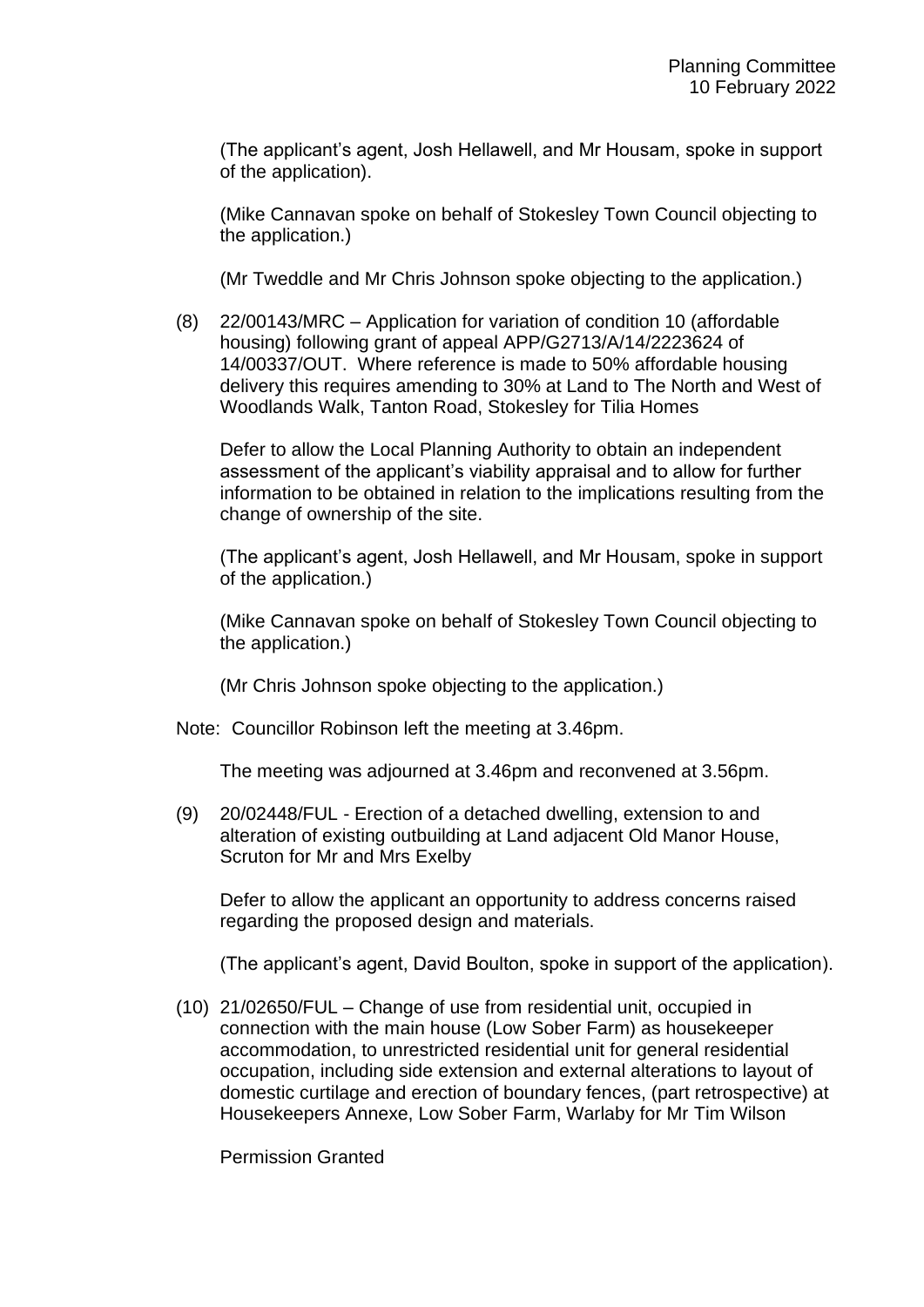(The applicant's agent, Josh Hellawell, and Mr Housam, spoke in support of the application).

(Mike Cannavan spoke on behalf of Stokesley Town Council objecting to the application.)

(Mr Tweddle and Mr Chris Johnson spoke objecting to the application.)

(8) 22/00143/MRC – Application for variation of condition 10 (affordable housing) following grant of appeal APP/G2713/A/14/2223624 of 14/00337/OUT. Where reference is made to 50% affordable housing delivery this requires amending to 30% at Land to The North and West of Woodlands Walk, Tanton Road, Stokesley for Tilia Homes

Defer to allow the Local Planning Authority to obtain an independent assessment of the applicant's viability appraisal and to allow for further information to be obtained in relation to the implications resulting from the change of ownership of the site.

(The applicant's agent, Josh Hellawell, and Mr Housam, spoke in support of the application.)

(Mike Cannavan spoke on behalf of Stokesley Town Council objecting to the application.)

(Mr Chris Johnson spoke objecting to the application.)

Note: Councillor Robinson left the meeting at 3.46pm.

The meeting was adjourned at 3.46pm and reconvened at 3.56pm.

(9) 20/02448/FUL - Erection of a detached dwelling, extension to and alteration of existing outbuilding at Land adjacent Old Manor House, Scruton for Mr and Mrs Exelby

Defer to allow the applicant an opportunity to address concerns raised regarding the proposed design and materials.

(The applicant's agent, David Boulton, spoke in support of the application).

(10) 21/02650/FUL – Change of use from residential unit, occupied in connection with the main house (Low Sober Farm) as housekeeper accommodation, to unrestricted residential unit for general residential occupation, including side extension and external alterations to layout of domestic curtilage and erection of boundary fences, (part retrospective) at Housekeepers Annexe, Low Sober Farm, Warlaby for Mr Tim Wilson

Permission Granted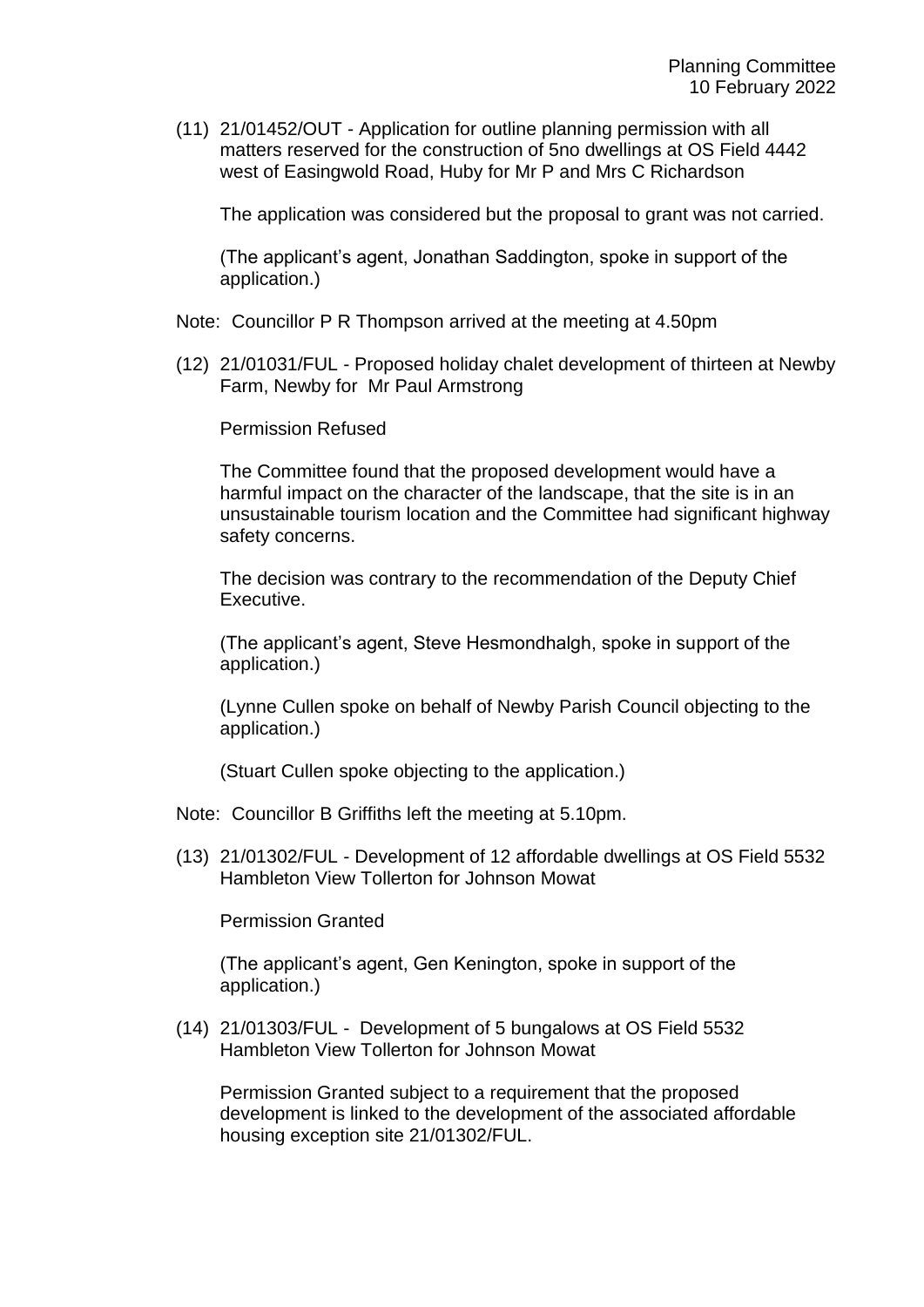(11) 21/01452/OUT - Application for outline planning permission with all matters reserved for the construction of 5no dwellings at OS Field 4442 west of Easingwold Road, Huby for Mr P and Mrs C Richardson

The application was considered but the proposal to grant was not carried.

(The applicant's agent, Jonathan Saddington, spoke in support of the application.)

Note: Councillor P R Thompson arrived at the meeting at 4.50pm

(12) 21/01031/FUL - Proposed holiday chalet development of thirteen at Newby Farm, Newby for Mr Paul Armstrong

Permission Refused

The Committee found that the proposed development would have a harmful impact on the character of the landscape, that the site is in an unsustainable tourism location and the Committee had significant highway safety concerns.

The decision was contrary to the recommendation of the Deputy Chief Executive.

(The applicant's agent, Steve Hesmondhalgh, spoke in support of the application.)

(Lynne Cullen spoke on behalf of Newby Parish Council objecting to the application.)

(Stuart Cullen spoke objecting to the application.)

- Note: Councillor B Griffiths left the meeting at 5.10pm.
- (13) 21/01302/FUL Development of 12 affordable dwellings at OS Field 5532 Hambleton View Tollerton for Johnson Mowat

Permission Granted

(The applicant's agent, Gen Kenington, spoke in support of the application.)

(14) 21/01303/FUL - Development of 5 bungalows at OS Field 5532 Hambleton View Tollerton for Johnson Mowat

Permission Granted subject to a requirement that the proposed development is linked to the development of the associated affordable housing exception site 21/01302/FUL.